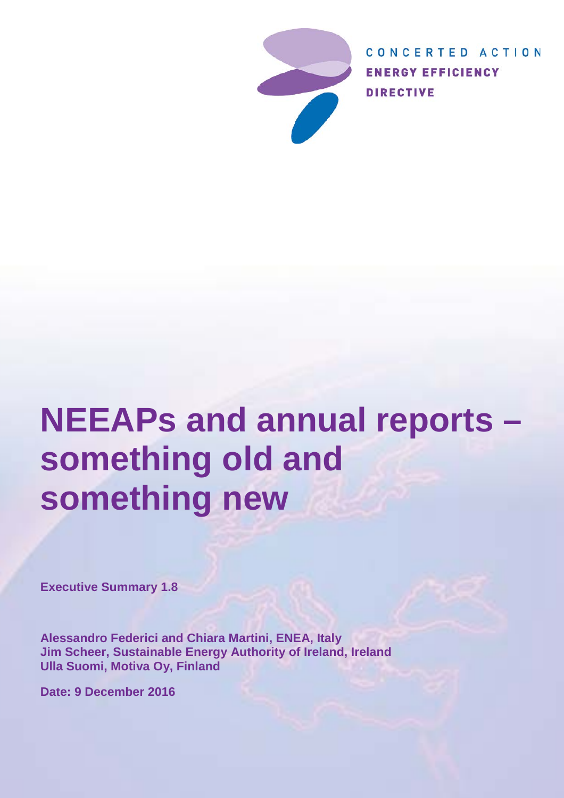

CONCERTED ACTION **ENERGY EFFICIENCY DIRECTIVE** 

# **NEEAPs and annual reports – something old and something new**

**Executive Summary 1.8**

**Alessandro Federici and Chiara Martini, ENEA, Italy Jim Scheer, Sustainable Energy Authority of Ireland, Ireland Ulla Suomi, Motiva Oy, Finland**

**Date: 9 December 2016**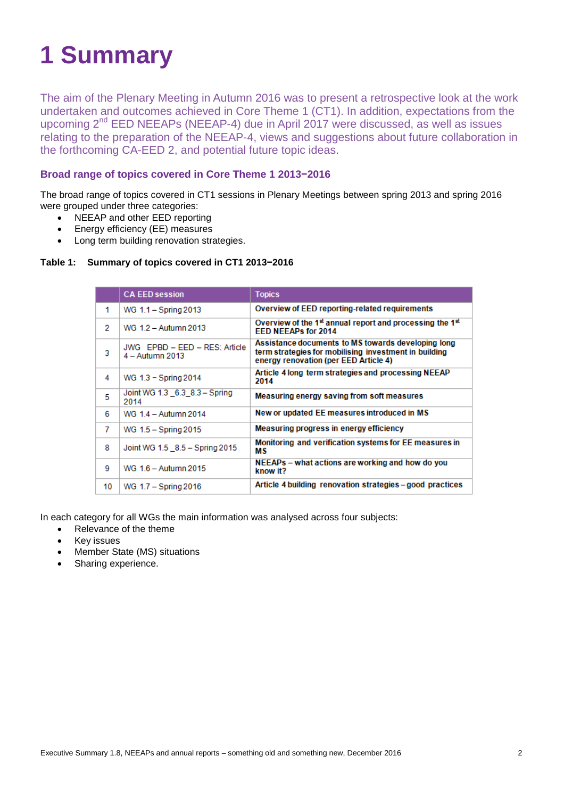# **1 Summary**

The aim of the Plenary Meeting in Autumn 2016 was to present a retrospective look at the work undertaken and outcomes achieved in Core Theme 1 (CT1). In addition, expectations from the upcoming 2<sup>nd</sup> EED NEEAPs (NEEAP-4) due in April 2017 were discussed, as well as issues relating to the preparation of the NEEAP-4, views and suggestions about future collaboration in the forthcoming CA-EED 2, and potential future topic ideas.

## **Broad range of topics covered in Core Theme 1 2013−2016**

The broad range of topics covered in CT1 sessions in Plenary Meetings between spring 2013 and spring 2016 were grouped under three categories:

- NEEAP and other EED reporting
- Energy efficiency (EE) measures
- Long term building renovation strategies.

#### **Table 1: Summary of topics covered in CT1 2013−2016**

|    | <b>CA EED session</b>                            | <b>Topics</b>                                                                                                                                        |
|----|--------------------------------------------------|------------------------------------------------------------------------------------------------------------------------------------------------------|
| 1  | WG 1.1 - Spring 2013                             | Overview of EED reporting-related requirements                                                                                                       |
| 2  | WG 1.2 - Autumn 2013                             | Overview of the 1 <sup>st</sup> annual report and processing the 1 <sup>st</sup><br><b>EED NEEAPs for 2014</b>                                       |
| 3  | JWG EPBD - EED - RES: Article<br>4 - Autumn 2013 | Assistance documents to MS towards developing long<br>term strategies for mobilising investment in building<br>energy renovation (per EED Article 4) |
| 4  | WG 1.3 - Spring 2014                             | Article 4 long term strategies and processing NEEAP<br>2014                                                                                          |
| 5  | Joint WG 1.3 6.3 8.3 - Spring<br>2014            | Measuring energy saving from soft measures                                                                                                           |
| 6  | WG 1.4 - Autumn 2014                             | New or updated EE measures introduced in MS                                                                                                          |
| 7  | WG 1.5 - Spring 2015                             | Measuring progress in energy efficiency                                                                                                              |
| 8  | Joint WG 1.5 8.5 - Spring 2015                   | Monitoring and verification systems for EE measures in<br>МS                                                                                         |
| 9  | WG 1.6 - Autumn 2015                             | NEEAPs – what actions are working and how do you<br>know it?                                                                                         |
| 10 | WG 1.7 - Spring 2016                             | Article 4 building renovation strategies – good practices                                                                                            |

In each category for all WGs the main information was analysed across four subjects:

- Relevance of the theme
- Key issues
- Member State (MS) situations
- Sharing experience.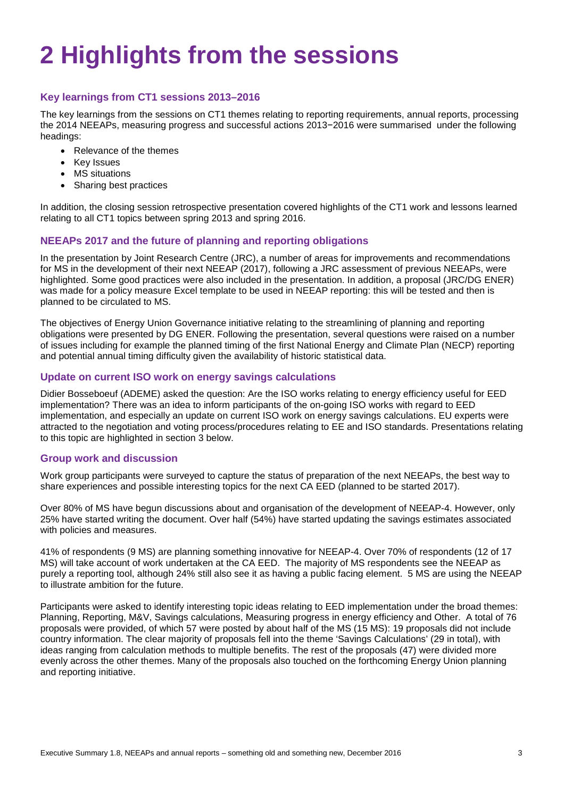# **2 Highlights from the sessions**

# **Key learnings from CT1 sessions 2013–2016**

The key learnings from the sessions on CT1 themes relating to reporting requirements, annual reports, processing the 2014 NEEAPs, measuring progress and successful actions 2013−2016 were summarised under the following headings:

- Relevance of the themes
- Key Issues
- MS situations
- Sharing best practices

In addition, the closing session retrospective presentation covered highlights of the CT1 work and lessons learned relating to all CT1 topics between spring 2013 and spring 2016.

### **NEEAPs 2017 and the future of planning and reporting obligations**

In the presentation by Joint Research Centre (JRC), a number of areas for improvements and recommendations for MS in the development of their next NEEAP (2017), following a JRC assessment of previous NEEAPs, were highlighted. Some good practices were also included in the presentation. In addition, a proposal (JRC/DG ENER) was made for a policy measure Excel template to be used in NEEAP reporting: this will be tested and then is planned to be circulated to MS.

The objectives of Energy Union Governance initiative relating to the streamlining of planning and reporting obligations were presented by DG ENER. Following the presentation, several questions were raised on a number of issues including for example the planned timing of the first National Energy and Climate Plan (NECP) reporting and potential annual timing difficulty given the availability of historic statistical data.

### **Update on current ISO work on energy savings calculations**

Didier Bosseboeuf (ADEME) asked the question: Are the ISO works relating to energy efficiency useful for EED implementation? There was an idea to inform participants of the on-going ISO works with regard to EED implementation, and especially an update on current ISO work on energy savings calculations. EU experts were attracted to the negotiation and voting process/procedures relating to EE and ISO standards. Presentations relating to this topic are highlighted in section 3 below.

#### **Group work and discussion**

Work group participants were surveyed to capture the status of preparation of the next NEEAPs, the best way to share experiences and possible interesting topics for the next CA EED (planned to be started 2017).

Over 80% of MS have begun discussions about and organisation of the development of NEEAP-4. However, only 25% have started writing the document. Over half (54%) have started updating the savings estimates associated with policies and measures.

41% of respondents (9 MS) are planning something innovative for NEEAP-4. Over 70% of respondents (12 of 17 MS) will take account of work undertaken at the CA EED. The majority of MS respondents see the NEEAP as purely a reporting tool, although 24% still also see it as having a public facing element. 5 MS are using the NEEAP to illustrate ambition for the future.

Participants were asked to identify interesting topic ideas relating to EED implementation under the broad themes: Planning, Reporting, M&V, Savings calculations, Measuring progress in energy efficiency and Other. A total of 76 proposals were provided, of which 57 were posted by about half of the MS (15 MS): 19 proposals did not include country information. The clear majority of proposals fell into the theme 'Savings Calculations' (29 in total), with ideas ranging from calculation methods to multiple benefits. The rest of the proposals (47) were divided more evenly across the other themes. Many of the proposals also touched on the forthcoming Energy Union planning and reporting initiative.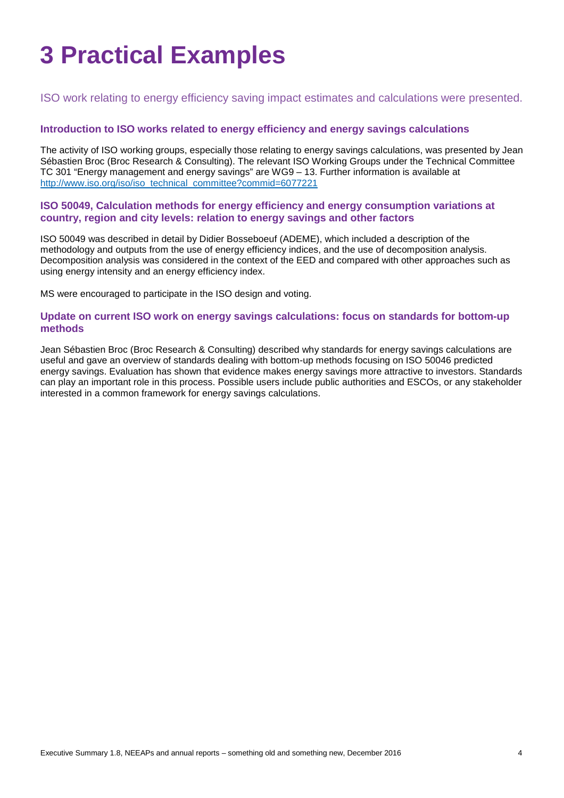# **3 Practical Examples**

ISO work relating to energy efficiency saving impact estimates and calculations were presented.

## **Introduction to ISO works related to energy efficiency and energy savings calculations**

The activity of ISO working groups, especially those relating to energy savings calculations, was presented by Jean Sébastien Broc (Broc Research & Consulting). The relevant ISO Working Groups under the Technical Committee TC 301 "Energy management and energy savings" are WG9 – 13. Further information is available at [http://www.iso.org/iso/iso\\_technical\\_committee?commid=6077221](http://www.iso.org/iso/iso_technical_committee?commid=6077221)

#### **ISO 50049, Calculation methods for energy efficiency and energy consumption variations at country, region and city levels: relation to energy savings and other factors**

ISO 50049 was described in detail by Didier Bosseboeuf (ADEME), which included a description of the methodology and outputs from the use of energy efficiency indices, and the use of decomposition analysis. Decomposition analysis was considered in the context of the EED and compared with other approaches such as using energy intensity and an energy efficiency index.

MS were encouraged to participate in the ISO design and voting.

#### **Update on current ISO work on energy savings calculations: focus on standards for bottom-up methods**

Jean Sébastien Broc (Broc Research & Consulting) described why standards for energy savings calculations are useful and gave an overview of standards dealing with bottom-up methods focusing on ISO 50046 predicted energy savings. Evaluation has shown that evidence makes energy savings more attractive to investors. Standards can play an important role in this process. Possible users include public authorities and ESCOs, or any stakeholder interested in a common framework for energy savings calculations.